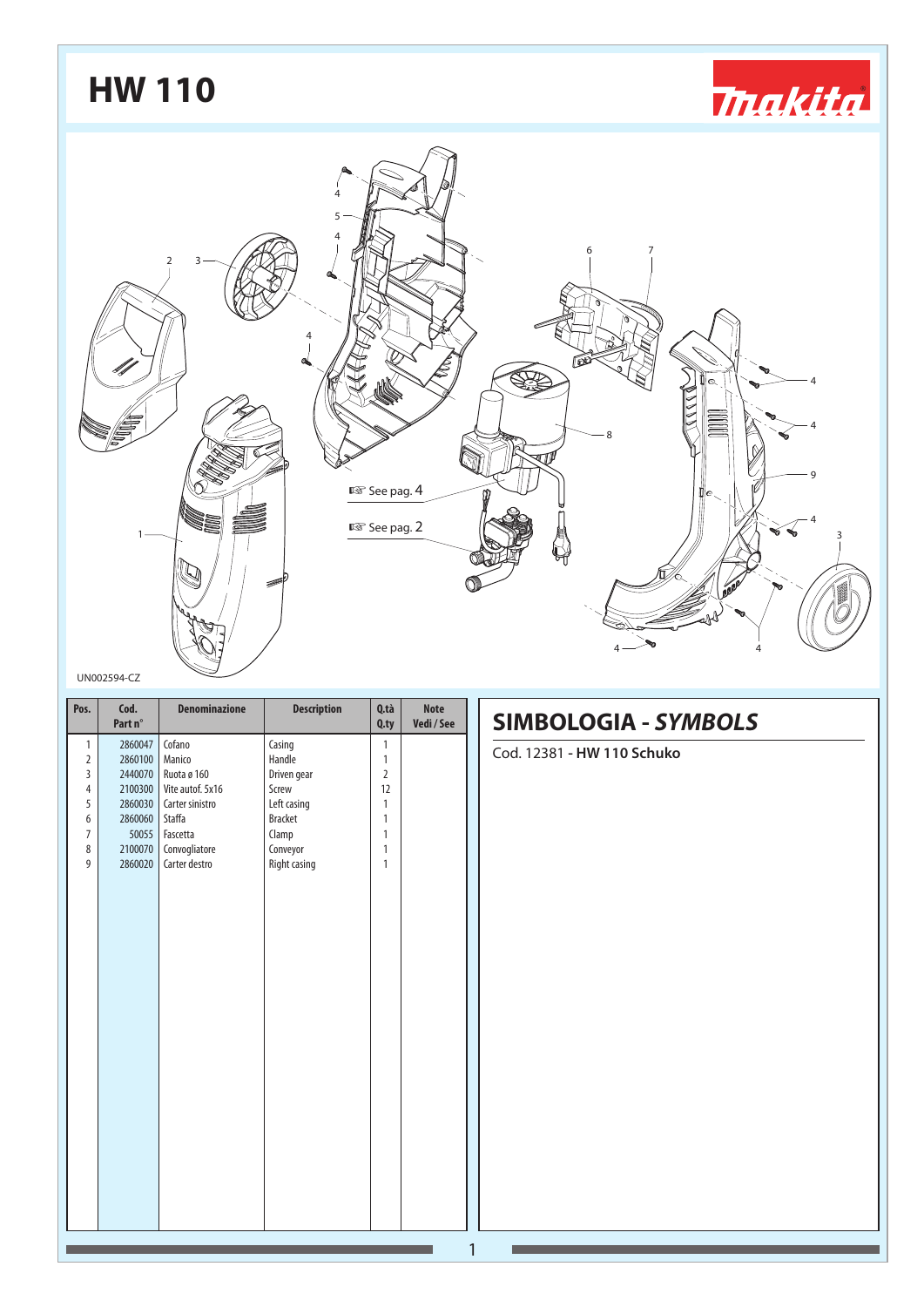## **HW 110***<u> makita</u>* 4 5 4 6 7 2 3 4 4 4 8 ĥ 9 **ISS** See pag. 4 4  $\mathbb{R}$  See pag. 2 1 3 ñ  $4 \rightarrow 4$

#### UN002594-CZ

| Pos.           | Cod.<br>Part n° | <b>Denominazione</b> | <b>Description</b> | Q.tà<br>Q.py   | <b>Note</b><br>Vedi/See | <b>SIMBOLOGIA - SYMBOLS</b> |
|----------------|-----------------|----------------------|--------------------|----------------|-------------------------|-----------------------------|
| $\mathbf{1}$   | 2860047         | Cofano               | Casing             | 1              |                         | Cod. 12381 - HW 110 Schuko  |
| $\overline{2}$ | 2860100         | Manico               | Handle             | $\mathbf{1}$   |                         |                             |
| 3              | 2440070         | Ruota ø 160          | Driven gear        | $\overline{2}$ |                         |                             |
| $\overline{4}$ | 2100300         | Vite autof. 5x16     | Screw              | 12             |                         |                             |
| 5              | 2860030         | Carter sinistro      | Left casing        | $\mathbf{1}$   |                         |                             |
| 6              | 2860060         | Staffa               | <b>Bracket</b>     | $\mathbf{1}$   |                         |                             |
| $\overline{7}$ | 50055           | Fascetta             | Clamp              | $\mathbf{1}$   |                         |                             |
| 8              | 2100070         | Convogliatore        | Conveyor           | $\mathbf{1}$   |                         |                             |
| 9              | 2860020         | Carter destro        | Right casing       | $\mathbf{1}$   |                         |                             |
|                |                 |                      |                    |                |                         |                             |
|                |                 |                      |                    |                |                         |                             |
|                |                 |                      |                    |                |                         |                             |
|                |                 |                      |                    |                |                         |                             |
|                |                 |                      |                    |                |                         |                             |
|                |                 |                      |                    |                |                         |                             |
|                |                 |                      |                    |                |                         |                             |
|                |                 |                      |                    |                |                         |                             |
|                |                 |                      |                    |                |                         |                             |
|                |                 |                      |                    |                |                         |                             |
|                |                 |                      |                    |                |                         |                             |
|                |                 |                      |                    |                |                         |                             |
|                |                 |                      |                    |                |                         |                             |
|                |                 |                      |                    |                |                         |                             |
|                |                 |                      |                    |                |                         |                             |
|                |                 |                      |                    |                |                         |                             |
|                |                 |                      |                    |                |                         |                             |
|                |                 |                      |                    |                |                         |                             |
|                |                 |                      |                    |                |                         |                             |
|                |                 |                      |                    |                |                         |                             |
|                |                 |                      |                    |                |                         |                             |
|                |                 |                      |                    |                |                         |                             |
|                |                 |                      |                    |                |                         |                             |
|                |                 |                      |                    |                |                         |                             |
|                |                 |                      |                    |                |                         | 1                           |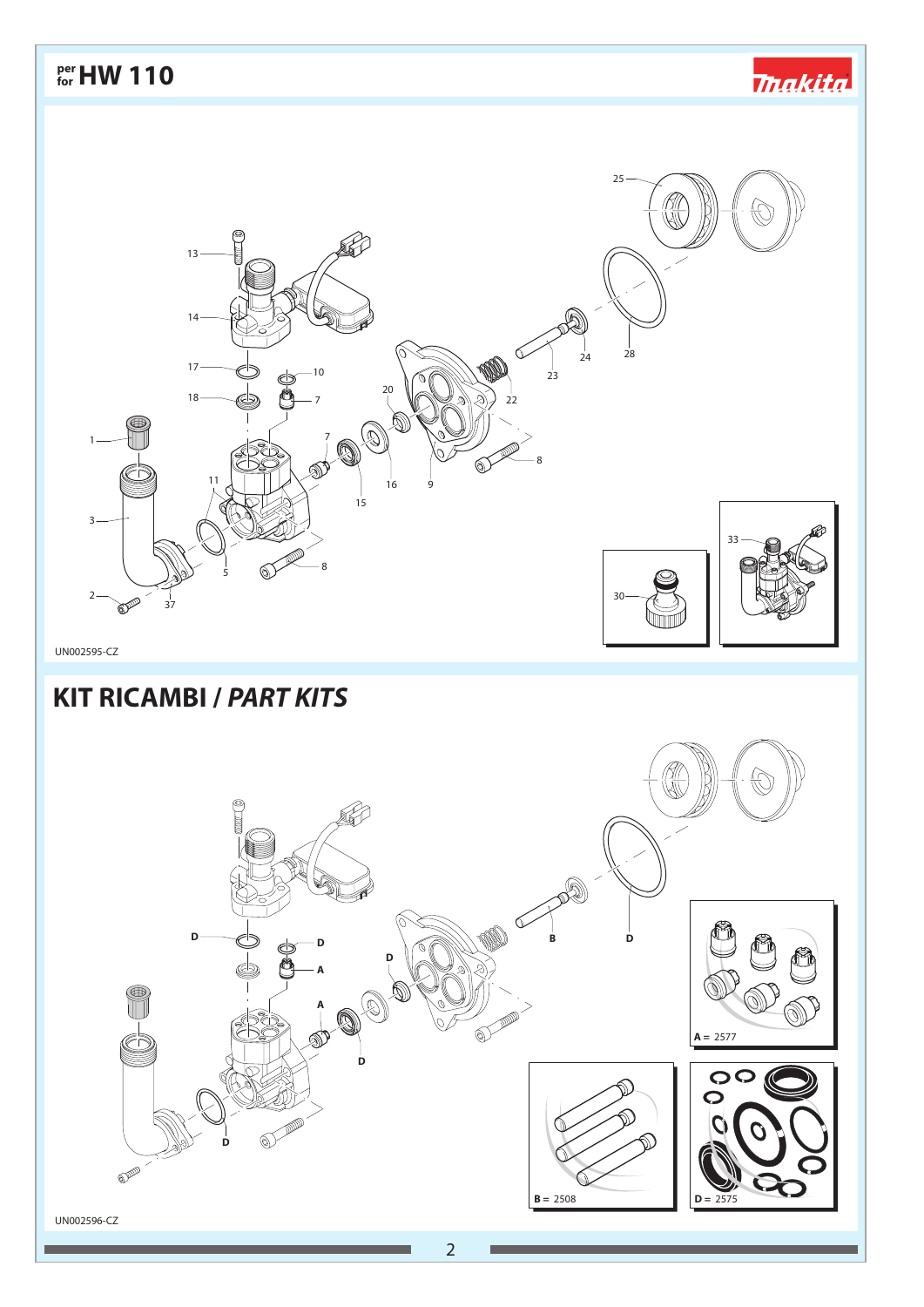*<u> makita</u>* 

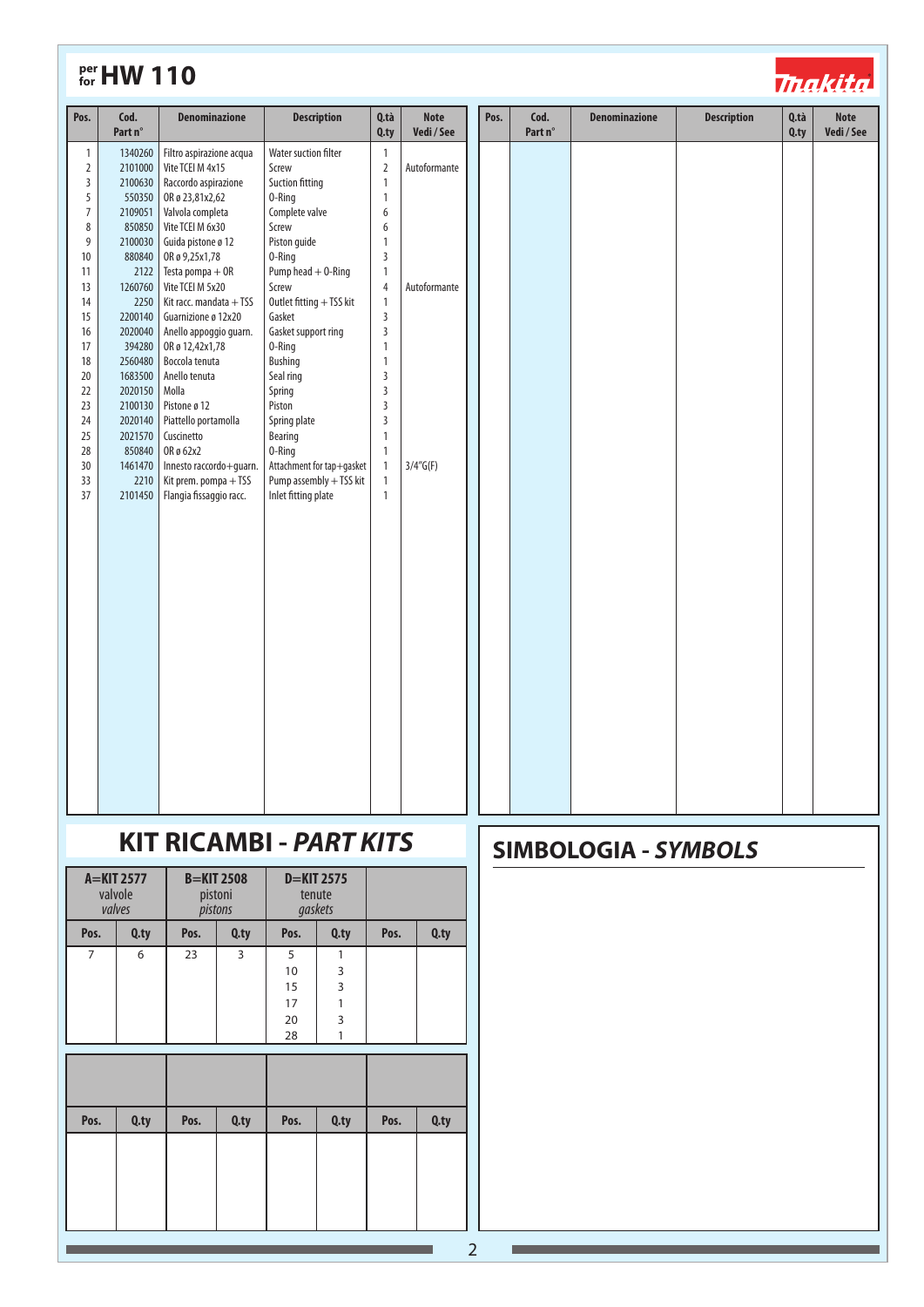| 1340260<br>Filtro aspirazione acqua<br>Water suction filter<br>$\mathbf{1}$<br>$\mathbf{1}$<br>$\overline{2}$<br>2101000<br>Vite TCEI M 4x15<br>Screw<br>$\overline{2}$<br>Autoformante<br>$\overline{\mathbf{3}}$<br>2100630<br>Raccordo aspirazione<br>Suction fitting<br>$\mathbf{1}$<br>5<br>550350<br>OR ø 23,81x2,62<br>$\mathbf{1}$<br>0-Ring<br>$\boldsymbol{7}$<br>2109051<br>Valvola completa<br>Complete valve<br>6<br>$\,8\,$<br>850850<br>Vite TCEI M 6x30<br>Screw<br>6<br>$\overline{9}$<br>$\mathbf{1}$<br>2100030<br>Guida pistone ø 12<br>Piston guide<br>$\mathsf{3}$<br>OR ø 9,25x1,78<br>10<br>880840<br>0-Ring<br>Pump head $+$ 0-Ring<br>$\mathbf{1}$<br>11<br>2122<br>Testa pompa + OR<br>Vite TCEI M 5x20<br>13<br>1260760<br>Screw<br>$\overline{4}$<br>Autoformante<br>14<br>2250<br>Kit racc. mandata + TSS<br>Outlet fitting + TSS kit<br>$\mathbf{1}$<br>15<br>2200140<br>Guarnizione ø 12x20<br>Gasket<br>$\overline{3}$<br>16<br>2020040<br>Gasket support ring<br>$\overline{3}$<br>Anello appoggio guarn.<br>17<br>OR ø 12,42x1,78<br>0-Ring<br>$\mathbf{1}$<br>394280<br>18<br>2560480<br>Boccola tenuta<br><b>Bushing</b><br>$\mathbf{1}$<br>Anello tenuta<br>$\overline{3}$<br>20<br>1683500<br>Seal ring<br>Molla<br>$\overline{3}$<br>22<br>2020150<br>Spring<br>Pistone ø 12<br>Piston<br>$\overline{3}$<br>23<br>2100130<br>2020140<br>Piattello portamolla<br>Spring plate<br>$\overline{3}$<br>24<br>25<br>2021570<br>Cuscinetto<br>Bearing<br>$\mathbf{1}$<br>28<br>850840<br>OR ø 62x2<br>0-Ring<br>$\mathbf{1}$<br>Innesto raccordo+guarn.<br>Attachment for tap+gasket<br>30<br>1461470<br>$\mathbf{1}$<br>$3/4''$ G(F)<br>Pump assembly + TSS kit<br>33<br>2210<br>Kit prem. pompa + TSS<br>$\mathbf{1}$<br>37<br>Inlet fitting plate<br>$\mathbf{1}$<br>2101450<br>Flangia fissaggio racc. | Pos. | Cod.<br>Part n° | <b>Denominazione</b> | <b>Description</b> | Q.tà<br>$Q$ .ty | <b>Note</b><br>Vedi / See | Pos. | Cod.<br>Part n° | <b>Denominazione</b> | <b>Description</b> | Q.tà<br>Q.ty | <b>Note</b><br>Vedi / See |
|---------------------------------------------------------------------------------------------------------------------------------------------------------------------------------------------------------------------------------------------------------------------------------------------------------------------------------------------------------------------------------------------------------------------------------------------------------------------------------------------------------------------------------------------------------------------------------------------------------------------------------------------------------------------------------------------------------------------------------------------------------------------------------------------------------------------------------------------------------------------------------------------------------------------------------------------------------------------------------------------------------------------------------------------------------------------------------------------------------------------------------------------------------------------------------------------------------------------------------------------------------------------------------------------------------------------------------------------------------------------------------------------------------------------------------------------------------------------------------------------------------------------------------------------------------------------------------------------------------------------------------------------------------------------------------------------------------------------------------------------------------------------------------------------------------------------------------------------|------|-----------------|----------------------|--------------------|-----------------|---------------------------|------|-----------------|----------------------|--------------------|--------------|---------------------------|
|                                                                                                                                                                                                                                                                                                                                                                                                                                                                                                                                                                                                                                                                                                                                                                                                                                                                                                                                                                                                                                                                                                                                                                                                                                                                                                                                                                                                                                                                                                                                                                                                                                                                                                                                                                                                                                             |      |                 |                      |                    |                 |                           |      |                 |                      |                    |              |                           |

# **KIT RICAMBI - PART KITS**

| A=KIT 2577<br>valvole<br>valves |              | pistoni<br>pistons | <b>B=KIT 2508</b> |                                 | $D=KIT 2575$<br>tenute<br>gaskets     |      |         |
|---------------------------------|--------------|--------------------|-------------------|---------------------------------|---------------------------------------|------|---------|
| Pos.                            | Q.ty         |                    | Q.ty              | Pos.                            | $Q$ .ty                               | Pos. | $Q$ .ty |
| $\overline{7}$                  | 6            | 3<br>23            |                   | 5<br>10<br>15<br>17<br>20<br>28 | $\mathbf{1}$<br>3<br>3<br>1<br>3<br>1 |      |         |
|                                 |              |                    |                   |                                 |                                       |      |         |
| Pos.                            | Q.ty<br>Pos. |                    | $Q$ , ty          | Pos.                            | $Q$ .ty                               | Pos. | $Q$ .ty |
|                                 |              |                    |                   |                                 |                                       |      |         |

## **SIMBOLOGIA - SYMBOLS**

*<u> Thakita</u>*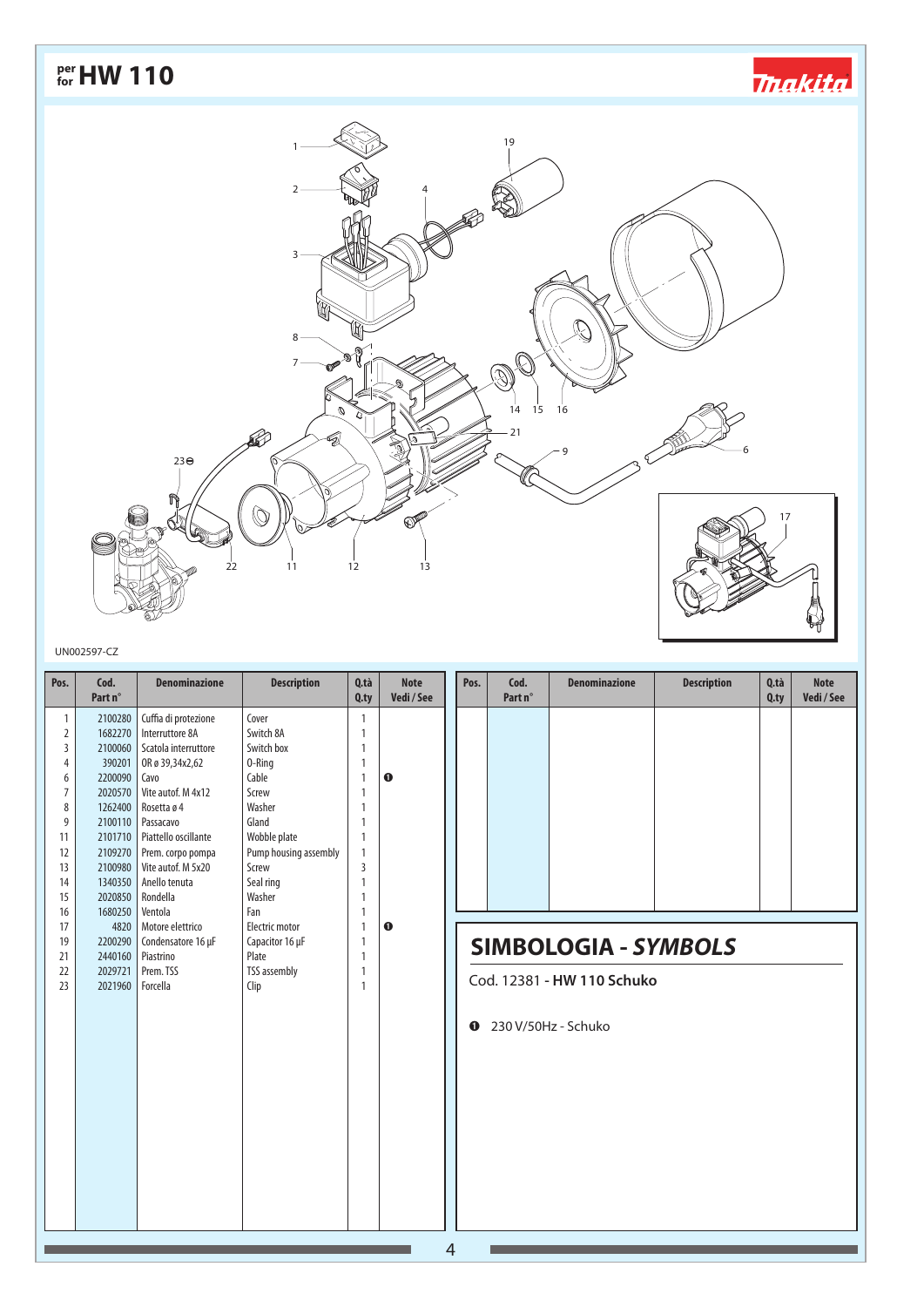

#### UN002597-CZ

| Pos.           | Cod.<br>Part n°     | <b>Denominazione</b>         | <b>Description</b>    | Q.tà<br>$Q$ .ty | <b>Note</b><br>Vedi / See | Pos.           | Cod.<br>Part n° | <b>Denominazione</b>        | <b>Description</b> | Q.tà<br>$Q$ .ty | <b>Note</b><br>Vedi/See |
|----------------|---------------------|------------------------------|-----------------------|-----------------|---------------------------|----------------|-----------------|-----------------------------|--------------------|-----------------|-------------------------|
| 1              | 2100280             | Cuffia di protezione         | Cover                 | $\mathbf{1}$    |                           |                |                 |                             |                    |                 |                         |
| $\overline{2}$ | 1682270             | Interruttore 8A              | Switch 8A             | $\overline{1}$  |                           |                |                 |                             |                    |                 |                         |
| 3              |                     | 2100060 Scatola interruttore | Switch box            | $\overline{1}$  |                           |                |                 |                             |                    |                 |                         |
| 4              | 390201              | OR ø 39,34x2,62              | 0-Ring                | $\mathbf{1}$    |                           |                |                 |                             |                    |                 |                         |
| 6              | 2200090             | Cavo                         | Cable                 | $\overline{1}$  | $\mathbf 0$               |                |                 |                             |                    |                 |                         |
| $\overline{7}$ | 2020570             | Vite autof. M 4x12           | Screw                 | $\mathbf{1}$    |                           |                |                 |                             |                    |                 |                         |
| 8              | 1262400             | Rosetta ø 4                  | Washer                | $\mathbf{1}$    |                           |                |                 |                             |                    |                 |                         |
| 9              |                     | 2100110   Passacavo          | Gland                 | $\mathbf{1}$    |                           |                |                 |                             |                    |                 |                         |
| 11             |                     | 2101710 Piattello oscillante | Wobble plate          | $\mathbf{1}$    |                           |                |                 |                             |                    |                 |                         |
| 12             | 2109270             | Prem. corpo pompa            | Pump housing assembly | $\mathbf{1}$    |                           |                |                 |                             |                    |                 |                         |
| 13             | 2100980             | Vite autof. M 5x20           | Screw                 | $\overline{3}$  |                           |                |                 |                             |                    |                 |                         |
| 14             | 1340350             | Anello tenuta                | Seal ring             | $\overline{1}$  |                           |                |                 |                             |                    |                 |                         |
| 15             | 2020850             | Rondella                     | Washer                | $\mathbf{1}$    |                           |                |                 |                             |                    |                 |                         |
| 16             | 1680250             | Ventola                      | Fan                   | $\mathbf{1}$    |                           |                |                 |                             |                    |                 |                         |
| 17             | 4820                | Motore elettrico             | Electric motor        | $\mathbf{1}$    | $\mathbf 0$               |                |                 |                             |                    |                 |                         |
| 19             | 2200290             | Condensatore 16 µF           | Capacitor 16 µF       | $\overline{1}$  |                           |                |                 | <b>SIMBOLOGIA - SYMBOLS</b> |                    |                 |                         |
| 21             | 2440160   Piastrino |                              | Plate                 | $\mathbf{1}$    |                           |                |                 |                             |                    |                 |                         |
| 22             | 2029721             | Prem. TSS                    | <b>TSS assembly</b>   | $\mathbf{1}$    |                           |                |                 | Cod. 12381 - HW 110 Schuko  |                    |                 |                         |
| 23             | 2021960             | Forcella                     | Clip                  | 1               |                           |                |                 |                             |                    |                 |                         |
|                |                     |                              |                       |                 |                           |                |                 |                             |                    |                 |                         |
|                |                     |                              |                       |                 |                           | $\bf o$        |                 | 230 V/50Hz - Schuko         |                    |                 |                         |
|                |                     |                              |                       |                 |                           |                |                 |                             |                    |                 |                         |
|                |                     |                              |                       |                 |                           |                |                 |                             |                    |                 |                         |
|                |                     |                              |                       |                 |                           |                |                 |                             |                    |                 |                         |
|                |                     |                              |                       |                 |                           |                |                 |                             |                    |                 |                         |
|                |                     |                              |                       |                 |                           |                |                 |                             |                    |                 |                         |
|                |                     |                              |                       |                 |                           |                |                 |                             |                    |                 |                         |
|                |                     |                              |                       |                 |                           |                |                 |                             |                    |                 |                         |
|                |                     |                              |                       |                 |                           |                |                 |                             |                    |                 |                         |
|                |                     |                              |                       |                 |                           |                |                 |                             |                    |                 |                         |
|                |                     |                              |                       |                 |                           |                |                 |                             |                    |                 |                         |
|                |                     |                              |                       |                 |                           |                |                 |                             |                    |                 |                         |
|                |                     |                              |                       |                 |                           |                |                 |                             |                    |                 |                         |
|                |                     |                              |                       |                 |                           |                |                 |                             |                    |                 |                         |
|                |                     |                              |                       |                 |                           | $\overline{4}$ |                 |                             |                    |                 |                         |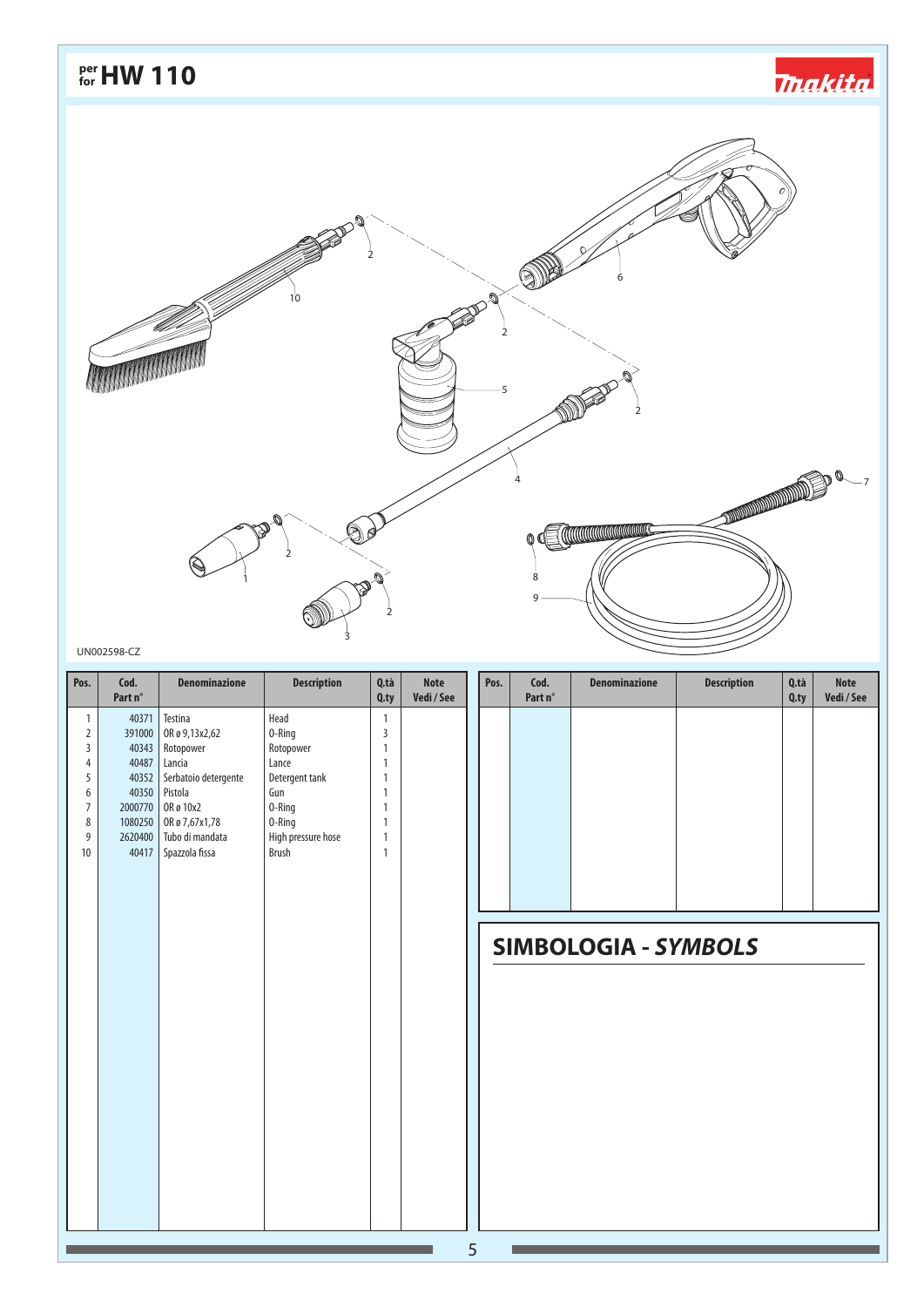*<u> makita</u>* 



### UN002598-CZ

| Pos.           | Cod.<br>Part n° | <b>Denominazione</b> | <b>Description</b> | Q.tà<br>$Q$ .ty | <b>Note</b><br>Vedi/See | Pos. | Cod.<br>Part n° | <b>Denominazione</b>        | <b>Description</b> | Q.tà<br>$Q$ .ty | <b>Note</b><br>Vedi / See |
|----------------|-----------------|----------------------|--------------------|-----------------|-------------------------|------|-----------------|-----------------------------|--------------------|-----------------|---------------------------|
| 1              | 40371           | Testina              | Head               | 1               |                         |      |                 |                             |                    |                 |                           |
| $\overline{2}$ | 391000          | OR ø 9,13x2,62       | 0-Ring             | 3               |                         |      |                 |                             |                    |                 |                           |
| $\mathsf 3$    | 40343           | Rotopower            | Rotopower          | $\mathbf{1}$    |                         |      |                 |                             |                    |                 |                           |
| $\overline{4}$ | 40487           | Lancia               | Lance              | $\mathbf{1}$    |                         |      |                 |                             |                    |                 |                           |
| 5              | 40352           | Serbatoio detergente | Detergent tank     | $\mathbf{1}$    |                         |      |                 |                             |                    |                 |                           |
| 6              | 40350           | Pistola              | Gun                | $\mathbf{1}$    |                         |      |                 |                             |                    |                 |                           |
| $\overline{7}$ | 2000770         | OR ø 10x2            | 0-Ring             | $\mathbf{1}$    |                         |      |                 |                             |                    |                 |                           |
| 8              | 1080250         | OR ø 7,67x1,78       | 0-Ring             | $\mathbf{1}$    |                         |      |                 |                             |                    |                 |                           |
| 9              | 2620400         | Tubo di mandata      | High pressure hose | $\mathbf{1}$    |                         |      |                 |                             |                    |                 |                           |
| 10             | 40417           | Spazzola fissa       | Brush              | $\mathbf{1}$    |                         |      |                 |                             |                    |                 |                           |
|                |                 |                      |                    |                 |                         |      |                 |                             |                    |                 |                           |
|                |                 |                      |                    |                 |                         |      |                 |                             |                    |                 |                           |
|                |                 |                      |                    |                 |                         |      |                 |                             |                    |                 |                           |
|                |                 |                      |                    |                 |                         |      |                 |                             |                    |                 |                           |
|                |                 |                      |                    |                 |                         |      |                 |                             |                    |                 |                           |
|                |                 |                      |                    |                 |                         |      |                 | <b>SIMBOLOGIA - SYMBOLS</b> |                    |                 |                           |
|                |                 |                      |                    |                 |                         |      |                 |                             |                    |                 |                           |
|                |                 |                      |                    |                 |                         |      |                 |                             |                    |                 |                           |
|                |                 |                      |                    |                 |                         |      |                 |                             |                    |                 |                           |
|                |                 |                      |                    |                 |                         |      |                 |                             |                    |                 |                           |
|                |                 |                      |                    |                 |                         |      |                 |                             |                    |                 |                           |
|                |                 |                      |                    |                 |                         |      |                 |                             |                    |                 |                           |
|                |                 |                      |                    |                 |                         |      |                 |                             |                    |                 |                           |
|                |                 |                      |                    |                 |                         |      |                 |                             |                    |                 |                           |
|                |                 |                      |                    |                 |                         |      |                 |                             |                    |                 |                           |
|                |                 |                      |                    |                 |                         |      |                 |                             |                    |                 |                           |
|                |                 |                      |                    |                 |                         |      |                 |                             |                    |                 |                           |
|                |                 |                      |                    |                 |                         |      |                 |                             |                    |                 |                           |
|                |                 |                      |                    |                 |                         |      |                 |                             |                    |                 |                           |
|                |                 |                      |                    |                 |                         |      |                 |                             |                    |                 |                           |
|                |                 |                      |                    |                 |                         |      |                 |                             |                    |                 |                           |
|                |                 |                      |                    |                 |                         |      |                 |                             |                    |                 |                           |
|                |                 |                      |                    |                 |                         |      |                 |                             |                    |                 |                           |
|                |                 |                      |                    |                 |                         |      |                 |                             |                    |                 |                           |
|                |                 |                      |                    |                 |                         |      |                 |                             |                    |                 |                           |
|                |                 |                      |                    |                 |                         | 5    |                 |                             |                    |                 |                           |